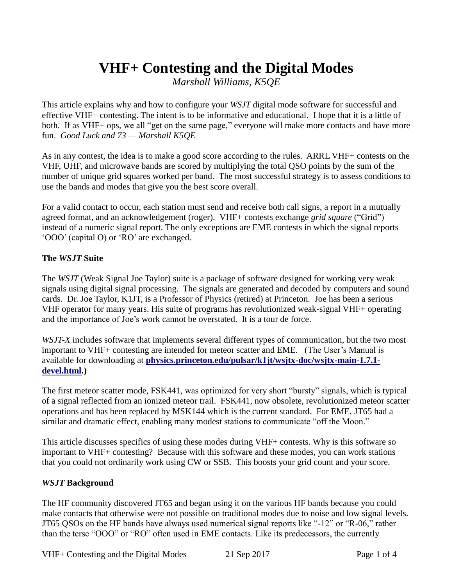# **VHF+ Contesting and the Digital Modes**

*Marshall Williams, K5QE*

This article explains why and how to configure your *WSJT* digital mode software for successful and effective VHF+ contesting. The intent is to be informative and educational. I hope that it is a little of both. If as VHF+ ops, we all "get on the same page," everyone will make more contacts and have more fun. *Good Luck and 73 — Marshall K5QE*

As in any contest, the idea is to make a good score according to the rules. ARRL VHF+ contests on the VHF, UHF, and microwave bands are scored by multiplying the total QSO points by the sum of the number of unique grid squares worked per band. The most successful strategy is to assess conditions to use the bands and modes that give you the best score overall.

For a valid contact to occur, each station must send and receive both call signs, a report in a mutually agreed format, and an acknowledgement (roger). VHF+ contests exchange *grid square* ("Grid") instead of a numeric signal report. The only exceptions are EME contests in which the signal reports 'OOO' (capital O) or 'RO' are exchanged.

## **The** *WSJT* **Suite**

The *WSJT* (Weak Signal Joe Taylor) suite is a package of software designed for working very weak signals using digital signal processing. The signals are generated and decoded by computers and sound cards. Dr. Joe Taylor, K1JT, is a Professor of Physics (retired) at Princeton. Joe has been a serious VHF operator for many years. His suite of programs has revolutionized weak-signal VHF+ operating and the importance of Joe's work cannot be overstated. It is a tour de force.

*WSJT-X* includes software that implements several different types of communication, but the two most important to VHF+ contesting are intended for meteor scatter and EME. (The User's Manual is available for downloading at **[physics.princeton.edu/pulsar/k1jt/wsjtx-doc/wsjtx-main-1.7.1](https://physics.princeton.edu/pulsar/k1jt/wsjtx-doc/wsjtx-main-1.7.1-devel.html) [devel.html.](https://physics.princeton.edu/pulsar/k1jt/wsjtx-doc/wsjtx-main-1.7.1-devel.html))**

The first meteor scatter mode, FSK441, was optimized for very short "bursty" signals, which is typical of a signal reflected from an ionized meteor trail. FSK441, now obsolete, revolutionized meteor scatter operations and has been replaced by MSK144 which is the current standard. For EME, JT65 had a similar and dramatic effect, enabling many modest stations to communicate "off the Moon."

This article discusses specifics of using these modes during VHF+ contests. Why is this software so important to VHF+ contesting? Because with this software and these modes, you can work stations that you could not ordinarily work using CW or SSB. This boosts your grid count and your score.

#### *WSJT* **Background**

The HF community discovered JT65 and began using it on the various HF bands because you could make contacts that otherwise were not possible on traditional modes due to noise and low signal levels. JT65 QSOs on the HF bands have always used numerical signal reports like "-12" or "R-06," rather than the terse "OOO" or "RO" often used in EME contacts. Like its predecessors, the currently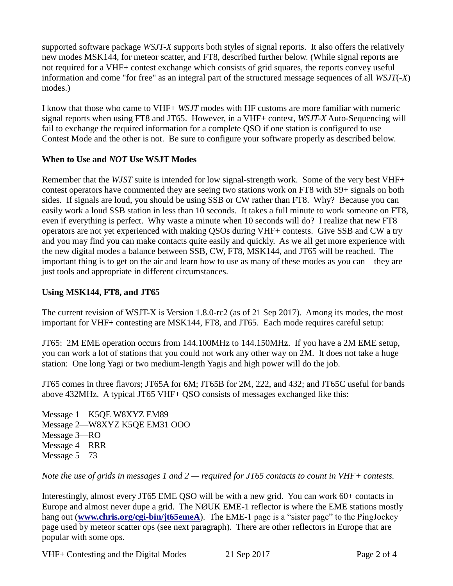supported software package *WSJT-X* supports both styles of signal reports. It also offers the relatively new modes MSK144, for meteor scatter, and FT8, described further below. (While signal reports are not required for a VHF+ contest exchange which consists of grid squares, the reports convey useful information and come "for free" as an integral part of the structured message sequences of all *WSJT*(-*X*) modes.)

I know that those who came to VHF+ *WSJT* modes with HF customs are more familiar with numeric signal reports when using FT8 and JT65. However, in a VHF+ contest, *WSJT-X* Auto-Sequencing will fail to exchange the required information for a complete QSO if one station is configured to use Contest Mode and the other is not. Be sure to configure your software properly as described below.

#### **When to Use and** *NOT* **Use WSJT Modes**

Remember that the *WJST* suite is intended for low signal-strength work. Some of the very best VHF+ contest operators have commented they are seeing two stations work on FT8 with S9+ signals on both sides. If signals are loud, you should be using SSB or CW rather than FT8. Why? Because you can easily work a loud SSB station in less than 10 seconds. It takes a full minute to work someone on FT8, even if everything is perfect. Why waste a minute when 10 seconds will do? I realize that new FT8 operators are not yet experienced with making QSOs during VHF+ contests. Give SSB and CW a try and you may find you can make contacts quite easily and quickly. As we all get more experience with the new digital modes a balance between SSB, CW, FT8, MSK144, and JT65 will be reached. The important thing is to get on the air and learn how to use as many of these modes as you can – they are just tools and appropriate in different circumstances.

### **Using MSK144, FT8, and JT65**

The current revision of WSJT-X is Version 1.8.0-rc2 (as of 21 Sep 2017). Among its modes, the most important for VHF+ contesting are MSK144, FT8, and JT65. Each mode requires careful setup:

JT65: 2M EME operation occurs from 144.100MHz to 144.150MHz. If you have a 2M EME setup, you can work a lot of stations that you could not work any other way on 2M. It does not take a huge station: One long Yagi or two medium-length Yagis and high power will do the job.

JT65 comes in three flavors; JT65A for 6M; JT65B for 2M, 222, and 432; and JT65C useful for bands above 432MHz. A typical JT65 VHF+ QSO consists of messages exchanged like this:

Message 1—K5QE W8XYZ EM89 Message 2—W8XYZ K5QE EM31 OOO Message 3—RO Message 4—RRR Message 5—73

*Note the use of grids in messages 1 and 2 — required for JT65 contacts to count in VHF+ contests.*

Interestingly, almost every JT65 EME QSO will be with a new grid. You can work 60+ contacts in Europe and almost never dupe a grid. The NØUK EME-1 reflector is where the EME stations mostly hang out (**[www.chris.org/cgi-bin/jt65emeA](file:///C:/Users/Ward%20Silver/Documents/Editing,%20Articles,%20and%20Projects/Articles%20&%20Projects/FT8%20Primer/www.chris.org/cgi-bin/jt65emeA)**). The EME-1 page is a "sister page" to the PingJockey page used by meteor scatter ops (see next paragraph). There are other reflectors in Europe that are popular with some ops.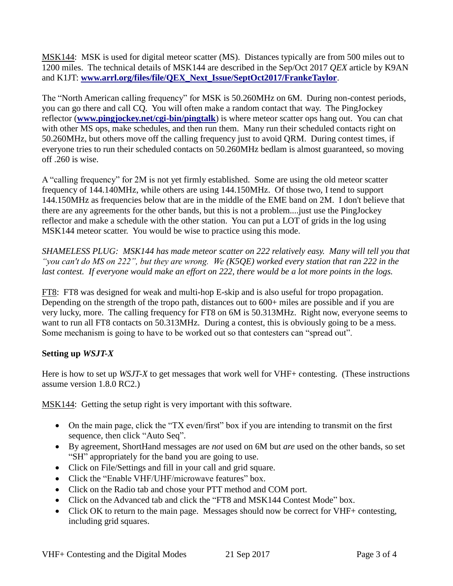MSK144: MSK is used for digital meteor scatter (MS). Distances typically are from 500 miles out to 1200 miles. The technical details of MSK144 are described in the Sep/Oct 2017 *QEX* article by K9AN and K1JT: **[www.arrl.org/files/file/QEX\\_Next\\_Issue/SeptOct2017/FrankeTaylor](http://www.arrl.org/files/file/QEX_Next_Issue/SeptOct2017/FrankeTaylor)**.

The "North American calling frequency" for MSK is 50.260MHz on 6M. During non-contest periods, you can go there and call CQ. You will often make a random contact that way. The PingJockey reflector (**[www.pingjockey.net/cgi-bin/pingtalk](file:///C:/Users/Ward%20Silver/Documents/Editing,%20Articles,%20and%20Projects/Articles%20&%20Projects/FT8%20Primer/www.pingjockey.net/cgi-bin/pingtalk)**) is where meteor scatter ops hang out. You can chat with other MS ops, make schedules, and then run them. Many run their scheduled contacts right on 50.260MHz, but others move off the calling frequency just to avoid QRM. During contest times, if everyone tries to run their scheduled contacts on 50.260MHz bedlam is almost guaranteed, so moving off .260 is wise.

A "calling frequency" for 2M is not yet firmly established. Some are using the old meteor scatter frequency of 144.140MHz, while others are using 144.150MHz. Of those two, I tend to support 144.150MHz as frequencies below that are in the middle of the EME band on 2M. I don't believe that there are any agreements for the other bands, but this is not a problem....just use the PingJockey reflector and make a schedule with the other station. You can put a LOT of grids in the log using MSK144 meteor scatter. You would be wise to practice using this mode.

*SHAMELESS PLUG: MSK144 has made meteor scatter on 222 relatively easy. Many will tell you that "you can't do MS on 222", but they are wrong. We (K5QE) worked every station that ran 222 in the last contest. If everyone would make an effort on 222, there would be a lot more points in the logs.*

FT8: FT8 was designed for weak and multi-hop E-skip and is also useful for tropo propagation. Depending on the strength of the tropo path, distances out to 600+ miles are possible and if you are very lucky, more. The calling frequency for FT8 on 6M is 50.313MHz. Right now, everyone seems to want to run all FT8 contacts on 50.313MHz. During a contest, this is obviously going to be a mess. Some mechanism is going to have to be worked out so that contesters can "spread out".

# **Setting up** *WSJT-X*

Here is how to set up *WSJT-X* to get messages that work well for VHF+ contesting. (These instructions assume version 1.8.0 RC2.)

MSK144: Getting the setup right is very important with this software.

- On the main page, click the "TX even/first" box if you are intending to transmit on the first sequence, then click "Auto Seq".
- By agreement, ShortHand messages are *not* used on 6M but *are* used on the other bands, so set "SH" appropriately for the band you are going to use.
- Click on File/Settings and fill in your call and grid square.
- Click the "Enable VHF/UHF/microwave features" box.
- Click on the Radio tab and chose your PTT method and COM port.
- Click on the Advanced tab and click the "FT8 and MSK144 Contest Mode" box.
- Click OK to return to the main page. Messages should now be correct for VHF+ contesting, including grid squares.